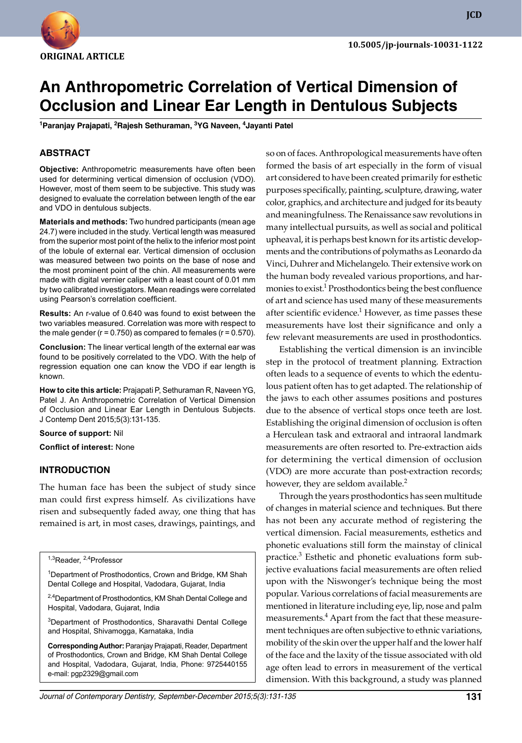

**JCD**

# **An Anthropometric Correlation of Vertical Dimension of Occlusion and Linear Ear Length in Dentulous Subjects**

<sup>1</sup>Paranjay Prajapati, <sup>2</sup>Rajesh Sethuraman, <sup>3</sup>YG Naveen, <sup>4</sup>Jayanti Patel

# **ABSTRACT**

**Objective:** Anthropometric measurements have often been used for determining vertical dimension of occlusion (VDO). However, most of them seem to be subjective. This study was designed to evaluate the correlation between length of the ear and VDO in dentulous subjects.

**Materials and methods:** Two hundred participants (mean age 24.7) were included in the study. Vertical length was measured from the superior most point of the helix to the inferior most point of the lobule of external ear. Vertical dimension of occlusion was measured between two points on the base of nose and the most prominent point of the chin. All measurements were made with digital vernier caliper with a least count of 0.01 mm by two calibrated investigators. Mean readings were correlated using Pearson's correlation coefficient.

**Results:** An r-value of 0.640 was found to exist between the two variables measured. Correlation was more with respect to the male gender ( $r = 0.750$ ) as compared to females ( $r = 0.570$ ).

**Conclusion:** The linear vertical length of the external ear was found to be positively correlated to the VDO. With the help of regression equation one can know the VDO if ear length is known.

**How to cite this article:** Prajapati P, Sethuraman R, Naveen YG, Patel J. An Anthropometric Correlation of Vertical Dimension of Occlusion and Linear Ear Length in Dentulous Subjects. J Contemp Dent 2015;5(3):131-135.

#### **Source of support:** Nil

**Conflict of interest:** None

## **Introduction**

The human face has been the subject of study since man could first express himself. As civilizations have risen and subsequently faded away, one thing that has remained is art, in most cases, drawings, paintings, and

<sup>1,3</sup>Reader, <sup>2,4</sup>Professor

<sup>1</sup>Department of Prosthodontics, Crown and Bridge, KM Shah Dental College and Hospital, Vadodara, Gujarat, India

<sup>2,4</sup>Department of Prosthodontics, KM Shah Dental College and Hospital, Vadodara, Gujarat, India

<sup>3</sup>Department of Prosthodontics, Sharavathi Dental College and Hospital, Shivamogga, Karnataka, India

**Corresponding Author:** Paranjay Prajapati, Reader, Department of Prosthodontics, Crown and Bridge, KM Shah Dental College and Hospital, Vadodara, Gujarat, India, Phone: 9725440155 e-mail: pgp2329@gmail.com

so on of faces. Anthropological measurements have often formed the basis of art especially in the form of visual art considered to have been created primarily for esthetic purposes specifically, painting, sculpture, drawing, water color, graphics, and architecture and judged for its beauty and meaningfulness. The Renaissance saw revolutions in many intellectual pursuits, as well as social and political upheaval, it is perhaps best known for its artistic developments and the contributions of polymaths as Leonardo da Vinci, Duhrer and Michelangelo. Their extensive work on the human body revealed various proportions, and harmonies to exist.<sup>1</sup> Prosthodontics being the best confluence of art and science has used many of these measurements after scientific evidence.<sup>1</sup> However, as time passes these measurements have lost their significance and only a few relevant measurements are used in prosthodontics.

Establishing the vertical dimension is an invincible step in the protocol of treatment planning. Extraction often leads to a sequence of events to which the edentulous patient often has to get adapted. The relationship of the jaws to each other assumes positions and postures due to the absence of vertical stops once teeth are lost. Establishing the original dimension of occlusion is often a Herculean task and extraoral and intraoral landmark measurements are often resorted to. Pre-extraction aids for determining the vertical dimension of occlusion (VDO) are more accurate than post-extraction records; however, they are seldom available.<sup>2</sup>

Through the years prosthodontics has seen multitude of changes in material science and techniques. But there has not been any accurate method of registering the vertical dimension. Facial measurements, esthetics and phonetic evaluations still form the mainstay of clinical practice.<sup>3</sup> Esthetic and phonetic evaluations form subjective evaluations facial measurements are often relied upon with the Niswonger's technique being the most popular. Various correlations of facial measurements are mentioned in literature including eye, lip, nose and palm measurements.<sup>4</sup> Apart from the fact that these measurement techniques are often subjective to ethnic variations, mobility of the skin over the upper half and the lower half of the face and the laxity of the tissue associated with old age often lead to errors in measurement of the vertical dimension. With this background, a study was planned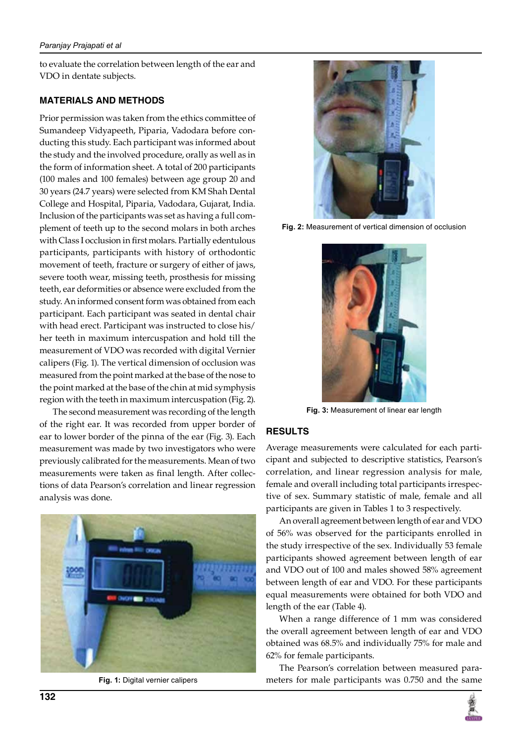to evaluate the correlation between length of the ear and VDO in dentate subjects.

# **MATERIALS AND METHODS**

Prior permission was taken from the ethics committee of Sumandeep Vidyapeeth, Piparia, Vadodara before conducting this study. Each participant was informed about the study and the involved procedure, orally as well as in the form of information sheet. A total of 200 participants (100 males and 100 females) between age group 20 and 30 years (24.7 years) were selected from KM Shah Dental College and Hospital, Piparia, Vadodara, Gujarat, India. Inclusion of the participants was set as having a full complement of teeth up to the second molars in both arches with Class I occlusion in first molars. Partially edentulous participants, participants with history of orthodontic movement of teeth, fracture or surgery of either of jaws, severe tooth wear, missing teeth, prosthesis for missing teeth, ear deformities or absence were excluded from the study. An informed consent form was obtained from each participant. Each participant was seated in dental chair with head erect. Participant was instructed to close his/ her teeth in maximum intercuspation and hold till the measurement of VDO was recorded with digital Vernier calipers (Fig. 1). The vertical dimension of occlusion was measured from the point marked at the base of the nose to the point marked at the base of the chin at mid symphysis region with the teeth in maximum intercuspation (Fig. 2).

The second measurement was recording of the length of the right ear. It was recorded from upper border of ear to lower border of the pinna of the ear (Fig. 3). Each measurement was made by two investigators who were previously calibrated for the measurements. Mean of two measurements were taken as final length. After collections of data Pearson's correlation and linear regression analysis was done.



**Fig. 1:** Digital vernier calipers



**Fig. 2:** Measurement of vertical dimension of occlusion



**Fig. 3:** Measurement of linear ear length

# **RESULTS**

Average measurements were calculated for each participant and subjected to descriptive statistics, Pearson's correlation, and linear regression analysis for male, female and overall including total participants irrespective of sex. Summary statistic of male, female and all participants are given in Tables 1 to 3 respectively.

An overall agreement between length of ear and VDO of 56% was observed for the participants enrolled in the study irrespective of the sex. Individually 53 female participants showed agreement between length of ear and VDO out of 100 and males showed 58% agreement between length of ear and VDO. For these participants equal measurements were obtained for both VDO and length of the ear (Table 4).

When a range difference of 1 mm was considered the overall agreement between length of ear and VDO obtained was 68.5% and individually 75% for male and 62% for female participants.

The Pearson's correlation between measured parameters for male participants was 0.750 and the same

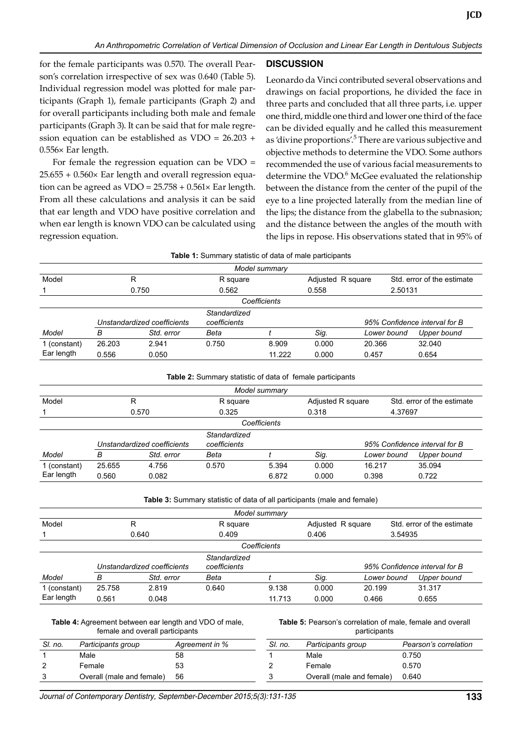for the female participants was 0.570. The overall Pearson's correlation irrespective of sex was 0.640 (Table 5). Individual regression model was plotted for male participants (Graph 1), female participants (Graph 2) and for overall participants including both male and female participants (Graph 3). It can be said that for male regression equation can be established as VDO = 26.203 + 0.556× Ear length.

For female the regression equation can be VDO = 25.655 + 0.560× Ear length and overall regression equation can be agreed as  $VDO = 25.758 + 0.561 \times$  Ear length. From all these calculations and analysis it can be said that ear length and VDO have positive correlation and when ear length is known VDO can be calculated using regression equation.

# **DISCUSSION**

Leonardo da Vinci contributed several observations and drawings on facial proportions, he divided the face in three parts and concluded that all three parts, i.e. upper one third, middle one third and lower one third of the face can be divided equally and he called this measurement as 'divine proportions'.<sup>5</sup> There are various subjective and objective methods to determine the VDO. Some authors recommended the use of various facial measurements to determine the VDO.<sup>6</sup> McGee evaluated the relationship between the distance from the center of the pupil of the eye to a line projected laterally from the median line of the lips; the distance from the glabella to the subnasion; and the distance between the angles of the mouth with the lips in repose. His observations stated that in 95% of

|              |        |                             | <b>Table 1:</b> Summary statistic of data of male participants |               |                   |             |                               |  |
|--------------|--------|-----------------------------|----------------------------------------------------------------|---------------|-------------------|-------------|-------------------------------|--|
|              |        |                             |                                                                | Model summary |                   |             |                               |  |
| Model        | R      |                             | R square                                                       |               | Adjusted R square |             | Std. error of the estimate    |  |
|              |        | 0.750                       | 0.562                                                          |               | 0.558             | 2.50131     |                               |  |
|              |        |                             |                                                                | Coefficients  |                   |             |                               |  |
|              |        | Unstandardized coefficients | Standardized<br>coefficients                                   |               |                   |             | 95% Confidence interval for B |  |
| Model        | в      | Std. error                  | Beta                                                           |               | Sig.              | Lower bound | Upper bound                   |  |
| 1 (constant) | 26.203 | 2.941                       | 0.750                                                          | 8.909         | 0.000             | 20.366      | 32.040                        |  |
| Ear length   | 0.556  | 0.050                       |                                                                | 11.222        | 0.000             | 0.457       | 0.654                         |  |

| <b>Table 2:</b> Summary statistic of data of female participants |  |
|------------------------------------------------------------------|--|
|------------------------------------------------------------------|--|

| Model summary                                                                                |        |            |          |              |       |                                                            |             |  |  |
|----------------------------------------------------------------------------------------------|--------|------------|----------|--------------|-------|------------------------------------------------------------|-------------|--|--|
| Model                                                                                        | R      |            | R square |              |       | Std. error of the estimate<br>Adjusted R square<br>4.37697 |             |  |  |
|                                                                                              |        | 0.570      | 0.325    |              | 0.318 |                                                            |             |  |  |
|                                                                                              |        |            |          | Coefficients |       |                                                            |             |  |  |
| Standardized<br>coefficients<br>95% Confidence interval for B<br>Unstandardized coefficients |        |            |          |              |       |                                                            |             |  |  |
| Model                                                                                        | в      | Std. error | Beta     |              | Sig.  | Lower bound                                                | Upper bound |  |  |
| 1 (constant)                                                                                 | 25.655 | 4.756      | 0.570    | 5.394        | 0.000 | 16.217                                                     | 35.094      |  |  |
| Ear length                                                                                   | 0.560  | 0.082      |          | 6.872        | 0.000 | 0.398                                                      | 0.722       |  |  |

**Table 3:** Summary statistic of data of all participants (male and female)

|              |        |                             |                              | Model summary |                   |             |                               |  |
|--------------|--------|-----------------------------|------------------------------|---------------|-------------------|-------------|-------------------------------|--|
| Model        | R      |                             | R square                     |               | Adjusted R square |             | Std. error of the estimate    |  |
|              |        | 0.640                       | 0.409                        |               | 0.406             | 3.54935     |                               |  |
|              |        |                             |                              | Coefficients  |                   |             |                               |  |
|              |        | Unstandardized coefficients | Standardized<br>coefficients |               |                   |             | 95% Confidence interval for B |  |
| Model        | в      | Std. error                  | Beta                         |               | Sig.              | Lower bound | Upper bound                   |  |
| 1 (constant) | 25.758 | 2.819                       | 0.640                        | 9.138         | 0.000             | 20.199      | 31.317                        |  |
| Ear length   | 0.561  | 0.048                       |                              | 11.713        | 0.000             | 0.466       | 0.655                         |  |

#### **Table 4:** Agreement between ear length and VDO of male, female and overall participants

**Table 5:** Pearson's correlation of male, female and overall participants

| SI. no. | Participants group        | Agreement in % | SI. no. | Participants group        | Pearson's correlation |
|---------|---------------------------|----------------|---------|---------------------------|-----------------------|
|         | Male                      | 58             |         | Male                      | 0.750                 |
| 2       | Female                    | 53             |         | Female                    | 0.570                 |
| 3       | Overall (male and female) | 56             |         | Overall (male and female) | 0.640                 |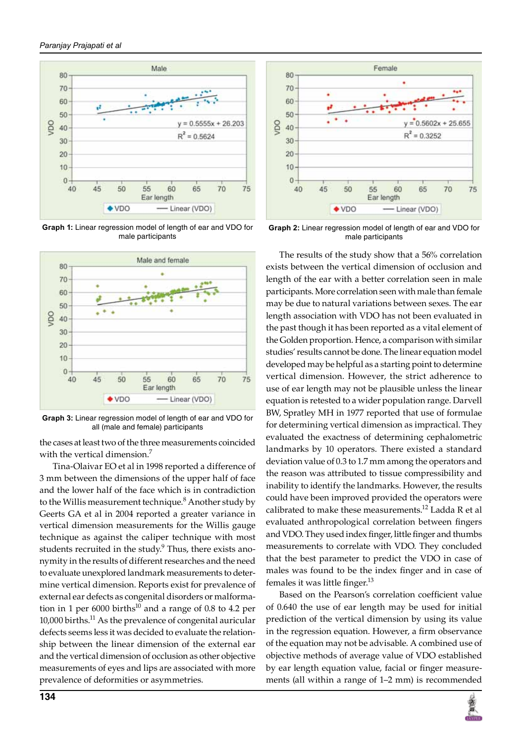

**Graph 1:** Linear regression model of length of ear and VDO for male participants



**Graph 3:** Linear regression model of length of ear and VDO for all (male and female) participants

the cases at least two of the three measurements coincided with the vertical dimension.<sup>7</sup>

Tina-Olaivar EO et al in 1998 reported a difference of 3 mm between the dimensions of the upper half of face and the lower half of the face which is in contradiction to the Willis measurement technique.<sup>8</sup> Another study by Geerts GA et al in 2004 reported a greater variance in vertical dimension measurements for the Willis gauge technique as against the caliper technique with most students recruited in the study. $9$  Thus, there exists anonymity in the results of different researches and the need to evaluate unexplored landmark measurements to determine vertical dimension. Reports exist for prevalence of external ear defects as congenital disorders or malformation in 1 per 6000 births<sup>10</sup> and a range of 0.8 to 4.2 per 10,000 births.<sup>11</sup> As the prevalence of congenital auricular defects seems less it was decided to evaluate the relationship between the linear dimension of the external ear and the vertical dimension of occlusion as other objective measurements of eyes and lips are associated with more prevalence of deformities or asymmetries.



**Graph 2:** Linear regression model of length of ear and VDO for male participants

The results of the study show that a 56% correlation exists between the vertical dimension of occlusion and length of the ear with a better correlation seen in male participants. More correlation seen with male than female may be due to natural variations between sexes. The ear length association with VDO has not been evaluated in the past though it has been reported as a vital element of the Golden proportion. Hence, a comparison with similar studies' results cannot be done. The linear equation model developed may be helpful as a starting point to determine vertical dimension. However, the strict adherence to use of ear length may not be plausible unless the linear equation is retested to a wider population range. Darvell BW, Spratley MH in 1977 reported that use of formulae for determining vertical dimension as impractical. They evaluated the exactness of determining cephalometric landmarks by 10 operators. There existed a standard deviation value of 0.3 to 1.7 mm among the operators and the reason was attributed to tissue compressibility and inability to identify the landmarks. However, the results could have been improved provided the operators were calibrated to make these measurements.<sup>12</sup> Ladda R et al evaluated anthropological correlation between fingers and VDO. They used index finger, little finger and thumbs measurements to correlate with VDO. They concluded that the best parameter to predict the VDO in case of males was found to be the index finger and in case of females it was little finger.<sup>13</sup>

Based on the Pearson's correlation coefficient value of 0.640 the use of ear length may be used for initial prediction of the vertical dimension by using its value in the regression equation. However, a firm observance of the equation may not be advisable. A combined use of objective methods of average value of VDO established by ear length equation value, facial or finger measurements (all within a range of 1–2 mm) is recommended